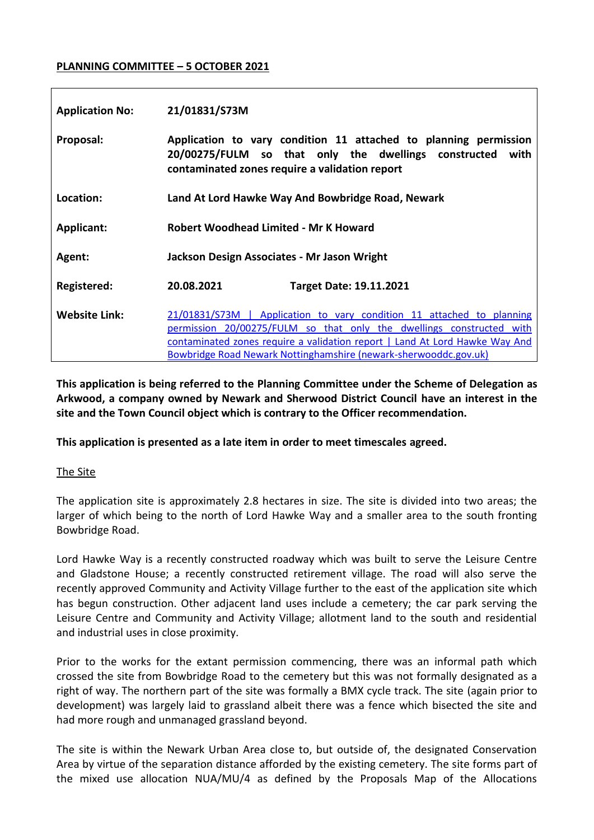### **PLANNING COMMITTEE – 5 OCTOBER 2021**

| <b>Application No:</b> | 21/01831/S73M                                                                                                                                                                                                                                                                                    |
|------------------------|--------------------------------------------------------------------------------------------------------------------------------------------------------------------------------------------------------------------------------------------------------------------------------------------------|
| Proposal:              | Application to vary condition 11 attached to planning permission<br>20/00275/FULM so that only the dwellings constructed<br>with<br>contaminated zones require a validation report                                                                                                               |
| Location:              | Land At Lord Hawke Way And Bowbridge Road, Newark                                                                                                                                                                                                                                                |
| <b>Applicant:</b>      | Robert Woodhead Limited - Mr K Howard                                                                                                                                                                                                                                                            |
| Agent:                 | Jackson Design Associates - Mr Jason Wright                                                                                                                                                                                                                                                      |
| <b>Registered:</b>     | 20.08.2021<br><b>Target Date: 19.11.2021</b>                                                                                                                                                                                                                                                     |
| <b>Website Link:</b>   | 21/01831/S73M   Application to vary condition 11 attached to planning<br>permission 20/00275/FULM so that only the dwellings constructed with<br>contaminated zones require a validation report   Land At Lord Hawke Way And<br>Bowbridge Road Newark Nottinghamshire (newark-sherwooddc.gov.uk) |

**This application is being referred to the Planning Committee under the Scheme of Delegation as Arkwood, a company owned by Newark and Sherwood District Council have an interest in the site and the Town Council object which is contrary to the Officer recommendation.**

**This application is presented as a late item in order to meet timescales agreed.**

# The Site

The application site is approximately 2.8 hectares in size. The site is divided into two areas; the larger of which being to the north of Lord Hawke Way and a smaller area to the south fronting Bowbridge Road.

Lord Hawke Way is a recently constructed roadway which was built to serve the Leisure Centre and Gladstone House; a recently constructed retirement village. The road will also serve the recently approved Community and Activity Village further to the east of the application site which has begun construction. Other adjacent land uses include a cemetery; the car park serving the Leisure Centre and Community and Activity Village; allotment land to the south and residential and industrial uses in close proximity.

Prior to the works for the extant permission commencing, there was an informal path which crossed the site from Bowbridge Road to the cemetery but this was not formally designated as a right of way. The northern part of the site was formally a BMX cycle track. The site (again prior to development) was largely laid to grassland albeit there was a fence which bisected the site and had more rough and unmanaged grassland beyond.

The site is within the Newark Urban Area close to, but outside of, the designated Conservation Area by virtue of the separation distance afforded by the existing cemetery. The site forms part of the mixed use allocation NUA/MU/4 as defined by the Proposals Map of the Allocations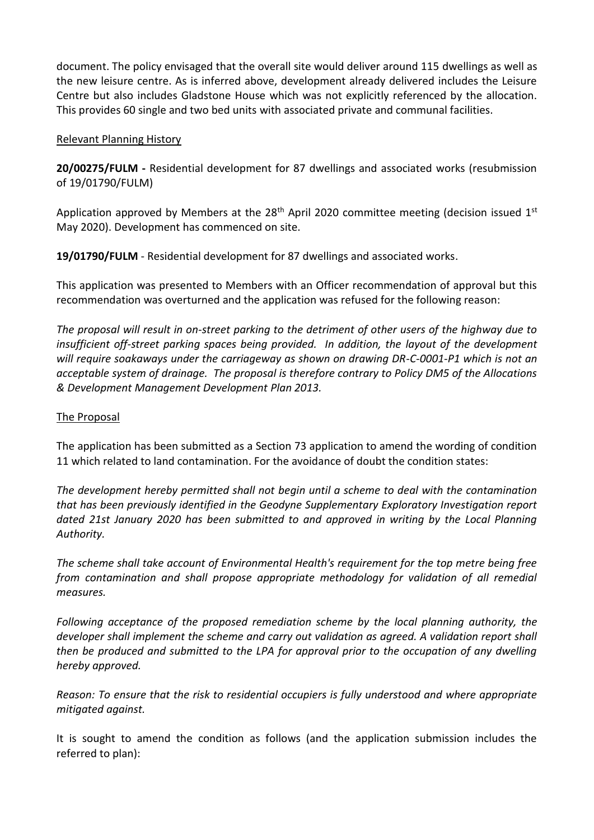document. The policy envisaged that the overall site would deliver around 115 dwellings as well as the new leisure centre. As is inferred above, development already delivered includes the Leisure Centre but also includes Gladstone House which was not explicitly referenced by the allocation. This provides 60 single and two bed units with associated private and communal facilities.

### Relevant Planning History

**20/00275/FULM -** Residential development for 87 dwellings and associated works (resubmission of 19/01790/FULM)

Application approved by Members at the  $28<sup>th</sup>$  April 2020 committee meeting (decision issued  $1<sup>st</sup>$ May 2020). Development has commenced on site.

**19/01790/FULM** - Residential development for 87 dwellings and associated works.

This application was presented to Members with an Officer recommendation of approval but this recommendation was overturned and the application was refused for the following reason:

*The proposal will result in on-street parking to the detriment of other users of the highway due to insufficient off-street parking spaces being provided. In addition, the layout of the development will require soakaways under the carriageway as shown on drawing DR-C-0001-P1 which is not an acceptable system of drainage. The proposal is therefore contrary to Policy DM5 of the Allocations & Development Management Development Plan 2013.*

### The Proposal

The application has been submitted as a Section 73 application to amend the wording of condition 11 which related to land contamination. For the avoidance of doubt the condition states:

*The development hereby permitted shall not begin until a scheme to deal with the contamination that has been previously identified in the Geodyne Supplementary Exploratory Investigation report dated 21st January 2020 has been submitted to and approved in writing by the Local Planning Authority.* 

*The scheme shall take account of Environmental Health's requirement for the top metre being free from contamination and shall propose appropriate methodology for validation of all remedial measures.* 

*Following acceptance of the proposed remediation scheme by the local planning authority, the developer shall implement the scheme and carry out validation as agreed. A validation report shall then be produced and submitted to the LPA for approval prior to the occupation of any dwelling hereby approved.*

*Reason: To ensure that the risk to residential occupiers is fully understood and where appropriate mitigated against.*

It is sought to amend the condition as follows (and the application submission includes the referred to plan):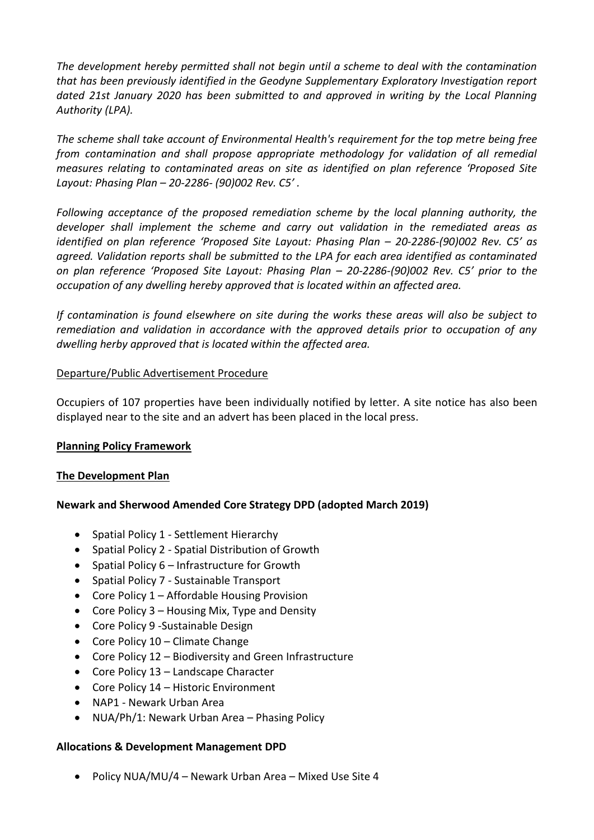*The development hereby permitted shall not begin until a scheme to deal with the contamination that has been previously identified in the Geodyne Supplementary Exploratory Investigation report dated 21st January 2020 has been submitted to and approved in writing by the Local Planning Authority (LPA).*

*The scheme shall take account of Environmental Health's requirement for the top metre being free from contamination and shall propose appropriate methodology for validation of all remedial measures relating to contaminated areas on site as identified on plan reference 'Proposed Site Layout: Phasing Plan – 20-2286- (90)002 Rev. C5' .* 

*Following acceptance of the proposed remediation scheme by the local planning authority, the developer shall implement the scheme and carry out validation in the remediated areas as identified on plan reference 'Proposed Site Layout: Phasing Plan – 20-2286-(90)002 Rev. C5' as agreed. Validation reports shall be submitted to the LPA for each area identified as contaminated on plan reference 'Proposed Site Layout: Phasing Plan – 20-2286-(90)002 Rev. C5' prior to the occupation of any dwelling hereby approved that is located within an affected area.* 

*If contamination is found elsewhere on site during the works these areas will also be subject to remediation and validation in accordance with the approved details prior to occupation of any dwelling herby approved that is located within the affected area.*

### Departure/Public Advertisement Procedure

Occupiers of 107 properties have been individually notified by letter. A site notice has also been displayed near to the site and an advert has been placed in the local press.

### **Planning Policy Framework**

### **The Development Plan**

# **Newark and Sherwood Amended Core Strategy DPD (adopted March 2019)**

- Spatial Policy 1 Settlement Hierarchy
- Spatial Policy 2 Spatial Distribution of Growth
- Spatial Policy  $6$  Infrastructure for Growth
- Spatial Policy 7 Sustainable Transport
- Core Policy 1 Affordable Housing Provision
- Core Policy  $3$  Housing Mix, Type and Density
- Core Policy 9 Sustainable Design
- Core Policy 10 Climate Change
- Core Policy 12 Biodiversity and Green Infrastructure
- Core Policy 13 Landscape Character
- Core Policy 14 Historic Environment
- NAP1 Newark Urban Area
- NUA/Ph/1: Newark Urban Area Phasing Policy

### **Allocations & Development Management DPD**

• Policy NUA/MU/4 – Newark Urban Area – Mixed Use Site 4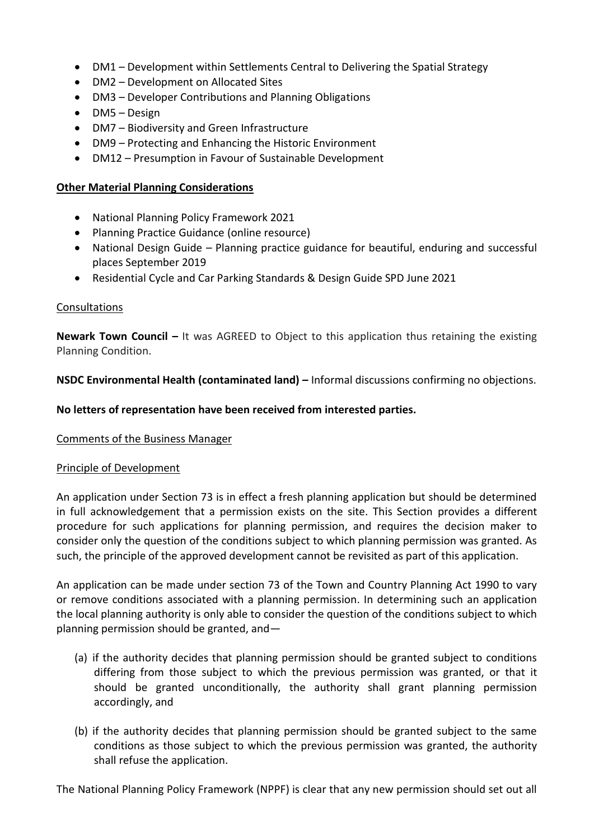- DM1 Development within Settlements Central to Delivering the Spatial Strategy
- DM2 Development on Allocated Sites
- DM3 Developer Contributions and Planning Obligations
- DM5 Design
- DM7 Biodiversity and Green Infrastructure
- DM9 Protecting and Enhancing the Historic Environment
- DM12 Presumption in Favour of Sustainable Development

### **Other Material Planning Considerations**

- National Planning Policy Framework 2021
- Planning Practice Guidance (online resource)
- National Design Guide Planning practice guidance for beautiful, enduring and successful places September 2019
- Residential Cycle and Car Parking Standards & Design Guide SPD June 2021

### Consultations

**Newark Town Council –** It was AGREED to Object to this application thus retaining the existing Planning Condition.

**NSDC Environmental Health (contaminated land) – Informal discussions confirming no objections.** 

### **No letters of representation have been received from interested parties.**

### Comments of the Business Manager

### Principle of Development

An application under Section 73 is in effect a fresh planning application but should be determined in full acknowledgement that a permission exists on the site. This Section provides a different procedure for such applications for planning permission, and requires the decision maker to consider only the question of the conditions subject to which planning permission was granted. As such, the principle of the approved development cannot be revisited as part of this application.

An application can be made under section 73 of the Town and Country Planning Act 1990 to vary or remove conditions associated with a planning permission. In determining such an application the local planning authority is only able to consider the question of the conditions subject to which planning permission should be granted, and—

- (a) if the authority decides that planning permission should be granted subject to conditions differing from those subject to which the previous permission was granted, or that it should be granted unconditionally, the authority shall grant planning permission accordingly, and
- (b) if the authority decides that planning permission should be granted subject to the same conditions as those subject to which the previous permission was granted, the authority shall refuse the application.

The National Planning Policy Framework (NPPF) is clear that any new permission should set out all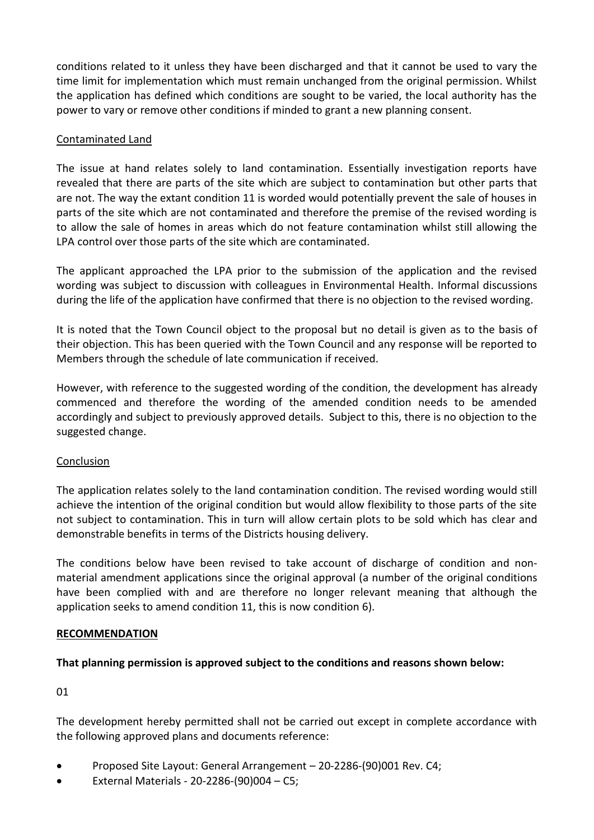conditions related to it unless they have been discharged and that it cannot be used to vary the time limit for implementation which must remain unchanged from the original permission. Whilst the application has defined which conditions are sought to be varied, the local authority has the power to vary or remove other conditions if minded to grant a new planning consent.

### Contaminated Land

The issue at hand relates solely to land contamination. Essentially investigation reports have revealed that there are parts of the site which are subject to contamination but other parts that are not. The way the extant condition 11 is worded would potentially prevent the sale of houses in parts of the site which are not contaminated and therefore the premise of the revised wording is to allow the sale of homes in areas which do not feature contamination whilst still allowing the LPA control over those parts of the site which are contaminated.

The applicant approached the LPA prior to the submission of the application and the revised wording was subject to discussion with colleagues in Environmental Health. Informal discussions during the life of the application have confirmed that there is no objection to the revised wording.

It is noted that the Town Council object to the proposal but no detail is given as to the basis of their objection. This has been queried with the Town Council and any response will be reported to Members through the schedule of late communication if received.

However, with reference to the suggested wording of the condition, the development has already commenced and therefore the wording of the amended condition needs to be amended accordingly and subject to previously approved details. Subject to this, there is no objection to the suggested change.

### Conclusion

The application relates solely to the land contamination condition. The revised wording would still achieve the intention of the original condition but would allow flexibility to those parts of the site not subject to contamination. This in turn will allow certain plots to be sold which has clear and demonstrable benefits in terms of the Districts housing delivery.

The conditions below have been revised to take account of discharge of condition and nonmaterial amendment applications since the original approval (a number of the original conditions have been complied with and are therefore no longer relevant meaning that although the application seeks to amend condition 11, this is now condition 6).

### **RECOMMENDATION**

### **That planning permission is approved subject to the conditions and reasons shown below:**

01

The development hereby permitted shall not be carried out except in complete accordance with the following approved plans and documents reference:

- Proposed Site Layout: General Arrangement 20-2286-(90)001 Rev. C4;
- External Materials 20-2286-(90)004 C5;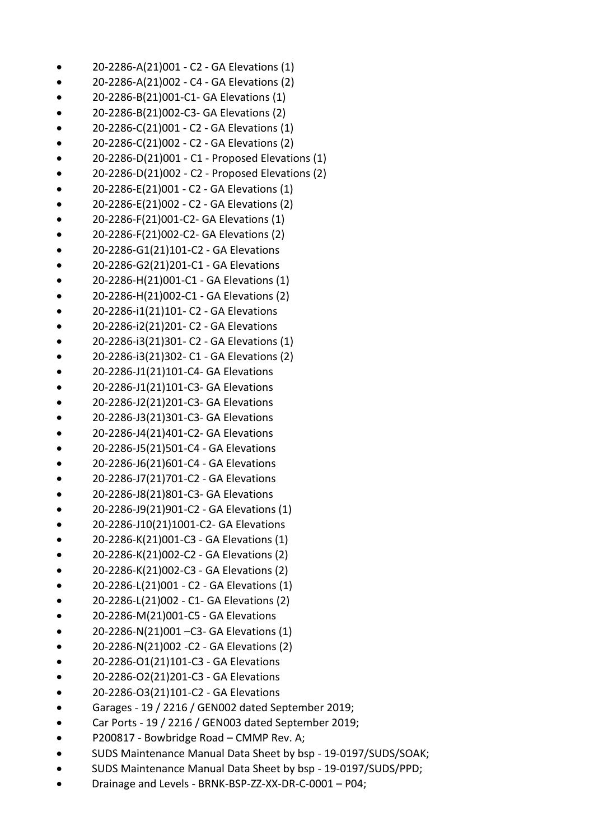- 20-2286-A(21)001 C2 GA Elevations (1)
- 20-2286-A(21)002 C4 GA Elevations (2)
- 20-2286-B(21)001-C1- GA Elevations (1)
- 20-2286-B(21)002-C3- GA Elevations (2)
- 20-2286-C(21)001 C2 GA Elevations (1)
- 20-2286-C(21)002 C2 GA Elevations (2)
- 20-2286-D(21)001 C1 Proposed Elevations (1)
- 20-2286-D(21)002 C2 Proposed Elevations (2)
- 20-2286-E(21)001 C2 GA Elevations (1)
- 20-2286-E(21)002 C2 GA Elevations (2)
- 20-2286-F(21)001-C2- GA Elevations (1)
- 20-2286-F(21)002-C2- GA Elevations (2)
- 20-2286-G1(21)101-C2 GA Elevations
- 20-2286-G2(21)201-C1 GA Elevations
- 20-2286-H(21)001-C1 GA Elevations (1)
- 20-2286-H(21)002-C1 GA Elevations (2)
- 20-2286-i1(21)101- C2 GA Elevations
- 20-2286-i2(21)201- C2 GA Elevations
- 20-2286-i3(21)301- C2 GA Elevations (1)
- 20-2286-i3(21)302- C1 GA Elevations (2)
- 20-2286-J1(21)101-C4- GA Elevations
- 20-2286-J1(21)101-C3- GA Elevations
- 20-2286-J2(21)201-C3- GA Elevations
- 20-2286-J3(21)301-C3- GA Elevations
- 20-2286-J4(21)401-C2- GA Elevations
- 20-2286-J5(21)501-C4 GA Elevations
- 20-2286-J6(21)601-C4 GA Elevations
- 20-2286-J7(21)701-C2 GA Elevations
- 20-2286-J8(21)801-C3- GA Elevations
- 20-2286-J9(21)901-C2 GA Elevations (1)
- 20-2286-J10(21)1001-C2- GA Elevations
- 20-2286-K(21)001-C3 GA Elevations (1)
- 20-2286-K(21)002-C2 GA Elevations (2)
- 20-2286-K(21)002-C3 GA Elevations (2)
- 20-2286-L(21)001 C2 GA Elevations (1)
- 20-2286-L(21)002 C1- GA Elevations (2)
- 20-2286-M(21)001-C5 GA Elevations
- 20-2286-N(21)001 –C3- GA Elevations (1)
- 20-2286-N(21)002 -C2 GA Elevations (2)
- 20-2286-O1(21)101-C3 GA Elevations
- 20-2286-O2(21)201-C3 GA Elevations
- 20-2286-O3(21)101-C2 GA Elevations
- Garages 19 / 2216 / GEN002 dated September 2019;
- Car Ports 19 / 2216 / GEN003 dated September 2019;
- P200817 Bowbridge Road CMMP Rev. A;
- SUDS Maintenance Manual Data Sheet by bsp 19-0197/SUDS/SOAK;
- SUDS Maintenance Manual Data Sheet by bsp 19-0197/SUDS/PPD;
- Drainage and Levels BRNK-BSP-ZZ-XX-DR-C-0001 P04;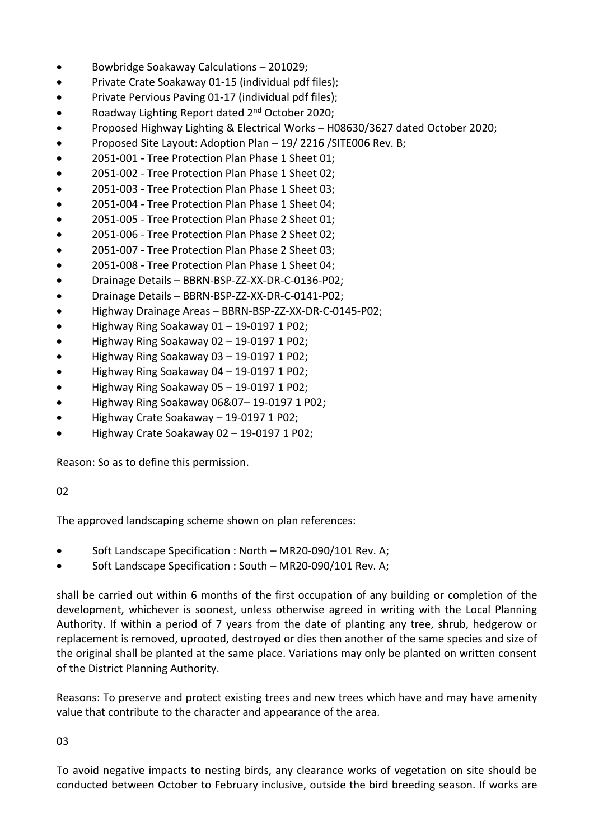- Bowbridge Soakaway Calculations 201029;
- Private Crate Soakaway 01-15 (individual pdf files);
- Private Pervious Paving 01-17 (individual pdf files);
- Roadway Lighting Report dated 2nd October 2020;
- Proposed Highway Lighting & Electrical Works H08630/3627 dated October 2020;
- Proposed Site Layout: Adoption Plan 19/ 2216 /SITE006 Rev. B;
- 2051-001 Tree Protection Plan Phase 1 Sheet 01;
- 2051-002 Tree Protection Plan Phase 1 Sheet 02;
- 2051-003 Tree Protection Plan Phase 1 Sheet 03;
- 2051-004 Tree Protection Plan Phase 1 Sheet 04;
- 2051-005 Tree Protection Plan Phase 2 Sheet 01;
- 2051-006 Tree Protection Plan Phase 2 Sheet 02;
- 2051-007 Tree Protection Plan Phase 2 Sheet 03;
- 2051-008 Tree Protection Plan Phase 1 Sheet 04;
- Drainage Details BBRN-BSP-ZZ-XX-DR-C-0136-P02;
- Drainage Details BBRN-BSP-ZZ-XX-DR-C-0141-P02;
- Highway Drainage Areas BBRN-BSP-ZZ-XX-DR-C-0145-P02;
- Highway Ring Soakaway 01 19-0197 1 P02;
- Highway Ring Soakaway 02 19-0197 1 P02;
- Highway Ring Soakaway 03 19-0197 1 P02;
- Highway Ring Soakaway 04 19-0197 1 P02;
- Highway Ring Soakaway 05 19-0197 1 P02;
- Highway Ring Soakaway 06&07– 19-0197 1 P02;
- Highway Crate Soakaway 19-0197 1 P02;
- Highway Crate Soakaway 02 19-0197 1 P02;

Reason: So as to define this permission.

# 02

The approved landscaping scheme shown on plan references:

- Soft Landscape Specification : North MR20-090/101 Rev. A;
- Soft Landscape Specification : South MR20-090/101 Rev. A;

shall be carried out within 6 months of the first occupation of any building or completion of the development, whichever is soonest, unless otherwise agreed in writing with the Local Planning Authority. If within a period of 7 years from the date of planting any tree, shrub, hedgerow or replacement is removed, uprooted, destroyed or dies then another of the same species and size of the original shall be planted at the same place. Variations may only be planted on written consent of the District Planning Authority.

Reasons: To preserve and protect existing trees and new trees which have and may have amenity value that contribute to the character and appearance of the area.

03

To avoid negative impacts to nesting birds, any clearance works of vegetation on site should be conducted between October to February inclusive, outside the bird breeding season. If works are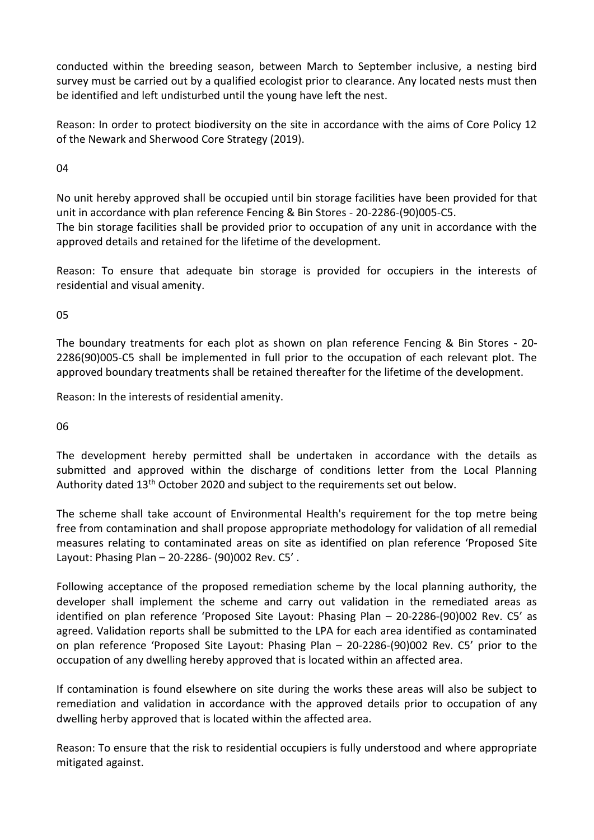conducted within the breeding season, between March to September inclusive, a nesting bird survey must be carried out by a qualified ecologist prior to clearance. Any located nests must then be identified and left undisturbed until the young have left the nest.

Reason: In order to protect biodiversity on the site in accordance with the aims of Core Policy 12 of the Newark and Sherwood Core Strategy (2019).

04

No unit hereby approved shall be occupied until bin storage facilities have been provided for that unit in accordance with plan reference Fencing & Bin Stores - 20-2286-(90)005-C5. The bin storage facilities shall be provided prior to occupation of any unit in accordance with the approved details and retained for the lifetime of the development.

Reason: To ensure that adequate bin storage is provided for occupiers in the interests of residential and visual amenity.

05

The boundary treatments for each plot as shown on plan reference Fencing & Bin Stores - 20- 2286(90)005-C5 shall be implemented in full prior to the occupation of each relevant plot. The approved boundary treatments shall be retained thereafter for the lifetime of the development.

Reason: In the interests of residential amenity.

06

The development hereby permitted shall be undertaken in accordance with the details as submitted and approved within the discharge of conditions letter from the Local Planning Authority dated 13<sup>th</sup> October 2020 and subject to the requirements set out below.

The scheme shall take account of Environmental Health's requirement for the top metre being free from contamination and shall propose appropriate methodology for validation of all remedial measures relating to contaminated areas on site as identified on plan reference 'Proposed Site Layout: Phasing Plan – 20-2286- (90)002 Rev. C5' .

Following acceptance of the proposed remediation scheme by the local planning authority, the developer shall implement the scheme and carry out validation in the remediated areas as identified on plan reference 'Proposed Site Layout: Phasing Plan – 20-2286-(90)002 Rev. C5' as agreed. Validation reports shall be submitted to the LPA for each area identified as contaminated on plan reference 'Proposed Site Layout: Phasing Plan – 20-2286-(90)002 Rev. C5' prior to the occupation of any dwelling hereby approved that is located within an affected area.

If contamination is found elsewhere on site during the works these areas will also be subject to remediation and validation in accordance with the approved details prior to occupation of any dwelling herby approved that is located within the affected area.

Reason: To ensure that the risk to residential occupiers is fully understood and where appropriate mitigated against.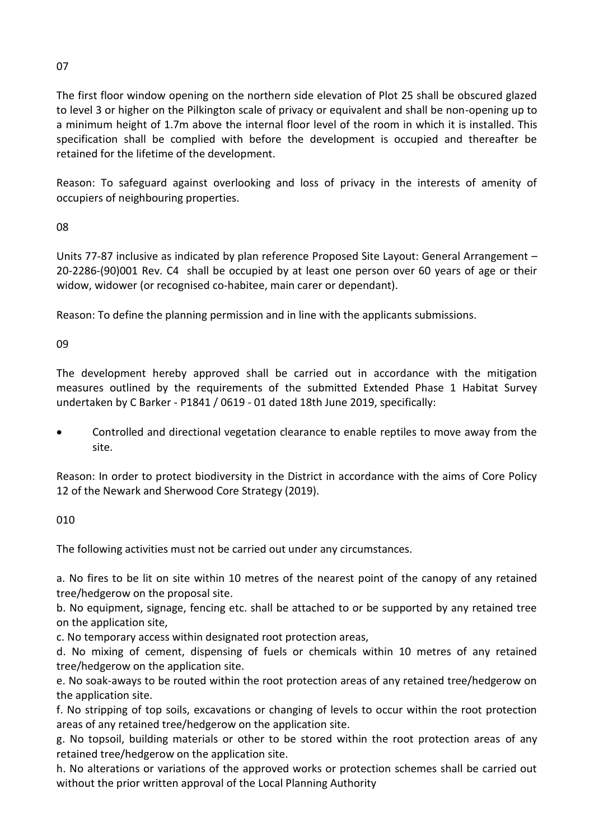# The first floor window opening on the northern side elevation of Plot 25 shall be obscured glazed to level 3 or higher on the Pilkington scale of privacy or equivalent and shall be non-opening up to a minimum height of 1.7m above the internal floor level of the room in which it is installed. This specification shall be complied with before the development is occupied and thereafter be retained for the lifetime of the development.

Reason: To safeguard against overlooking and loss of privacy in the interests of amenity of occupiers of neighbouring properties.

08

Units 77-87 inclusive as indicated by plan reference Proposed Site Layout: General Arrangement – 20-2286-(90)001 Rev. C4 shall be occupied by at least one person over 60 years of age or their widow, widower (or recognised co-habitee, main carer or dependant).

Reason: To define the planning permission and in line with the applicants submissions.

09

The development hereby approved shall be carried out in accordance with the mitigation measures outlined by the requirements of the submitted Extended Phase 1 Habitat Survey undertaken by C Barker - P1841 / 0619 - 01 dated 18th June 2019, specifically:

 Controlled and directional vegetation clearance to enable reptiles to move away from the site.

Reason: In order to protect biodiversity in the District in accordance with the aims of Core Policy 12 of the Newark and Sherwood Core Strategy (2019).

010

The following activities must not be carried out under any circumstances.

a. No fires to be lit on site within 10 metres of the nearest point of the canopy of any retained tree/hedgerow on the proposal site.

b. No equipment, signage, fencing etc. shall be attached to or be supported by any retained tree on the application site,

c. No temporary access within designated root protection areas,

d. No mixing of cement, dispensing of fuels or chemicals within 10 metres of any retained tree/hedgerow on the application site.

e. No soak-aways to be routed within the root protection areas of any retained tree/hedgerow on the application site.

f. No stripping of top soils, excavations or changing of levels to occur within the root protection areas of any retained tree/hedgerow on the application site.

g. No topsoil, building materials or other to be stored within the root protection areas of any retained tree/hedgerow on the application site.

h. No alterations or variations of the approved works or protection schemes shall be carried out without the prior written approval of the Local Planning Authority

07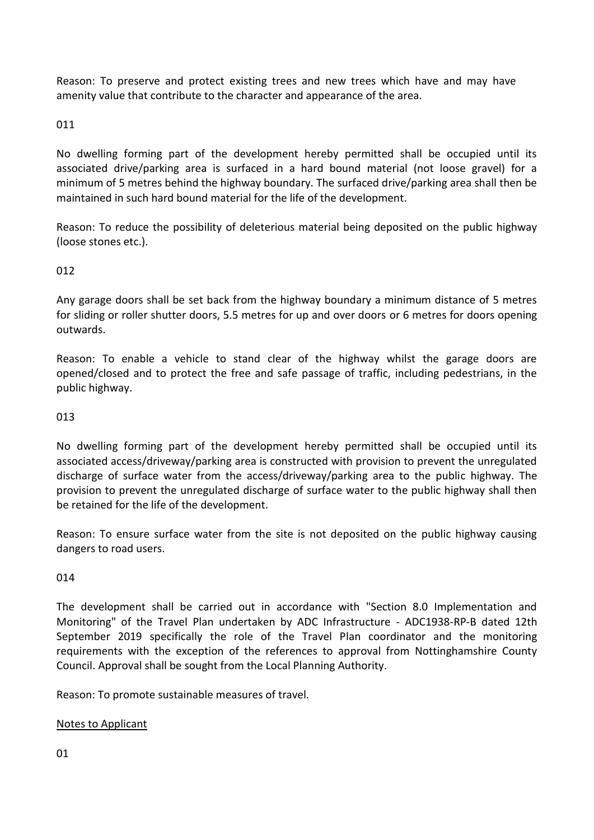Reason: To preserve and protect existing trees and new trees which have and may have amenity value that contribute to the character and appearance of the area.

# 011

No dwelling forming part of the development hereby permitted shall be occupied until its associated drive/parking area is surfaced in a hard bound material (not loose gravel) for a minimum of 5 metres behind the highway boundary. The surfaced drive/parking area shall then be maintained in such hard bound material for the life of the development.

Reason: To reduce the possibility of deleterious material being deposited on the public highway (loose stones etc.).

# 012

Any garage doors shall be set back from the highway boundary a minimum distance of 5 metres for sliding or roller shutter doors, 5.5 metres for up and over doors or 6 metres for doors opening outwards.

Reason: To enable a vehicle to stand clear of the highway whilst the garage doors are opened/closed and to protect the free and safe passage of traffic, including pedestrians, in the public highway.

### 013

No dwelling forming part of the development hereby permitted shall be occupied until its associated access/driveway/parking area is constructed with provision to prevent the unregulated discharge of surface water from the access/driveway/parking area to the public highway. The provision to prevent the unregulated discharge of surface water to the public highway shall then be retained for the life of the development.

Reason: To ensure surface water from the site is not deposited on the public highway causing dangers to road users.

# 014

The development shall be carried out in accordance with "Section 8.0 Implementation and Monitoring" of the Travel Plan undertaken by ADC Infrastructure - ADC1938-RP-B dated 12th September 2019 specifically the role of the Travel Plan coordinator and the monitoring requirements with the exception of the references to approval from Nottinghamshire County Council. Approval shall be sought from the Local Planning Authority.

Reason: To promote sustainable measures of travel.

# Notes to Applicant

01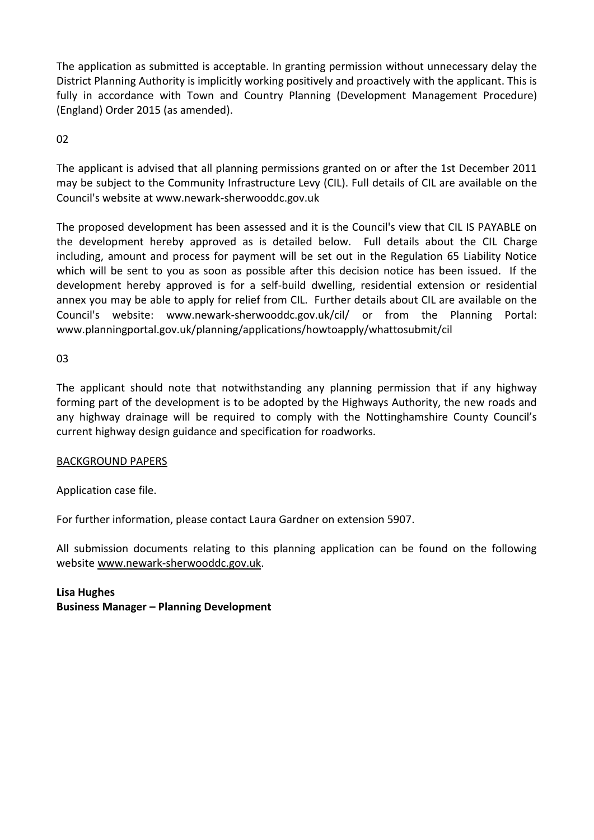The application as submitted is acceptable. In granting permission without unnecessary delay the District Planning Authority is implicitly working positively and proactively with the applicant. This is fully in accordance with Town and Country Planning (Development Management Procedure) (England) Order 2015 (as amended).

02

The applicant is advised that all planning permissions granted on or after the 1st December 2011 may be subject to the Community Infrastructure Levy (CIL). Full details of CIL are available on the Council's website at www.newark-sherwooddc.gov.uk

The proposed development has been assessed and it is the Council's view that CIL IS PAYABLE on the development hereby approved as is detailed below. Full details about the CIL Charge including, amount and process for payment will be set out in the Regulation 65 Liability Notice which will be sent to you as soon as possible after this decision notice has been issued. If the development hereby approved is for a self-build dwelling, residential extension or residential annex you may be able to apply for relief from CIL. Further details about CIL are available on the Council's website: www.newark-sherwooddc.gov.uk/cil/ or from the Planning Portal: www.planningportal.gov.uk/planning/applications/howtoapply/whattosubmit/cil

03

The applicant should note that notwithstanding any planning permission that if any highway forming part of the development is to be adopted by the Highways Authority, the new roads and any highway drainage will be required to comply with the Nottinghamshire County Council's current highway design guidance and specification for roadworks.

# BACKGROUND PAPERS

Application case file.

For further information, please contact Laura Gardner on extension 5907.

All submission documents relating to this planning application can be found on the following websit[e www.newark-sherwooddc.gov.uk.](http://www.newark-sherwooddc.gov.uk/)

**Lisa Hughes Business Manager – Planning Development**